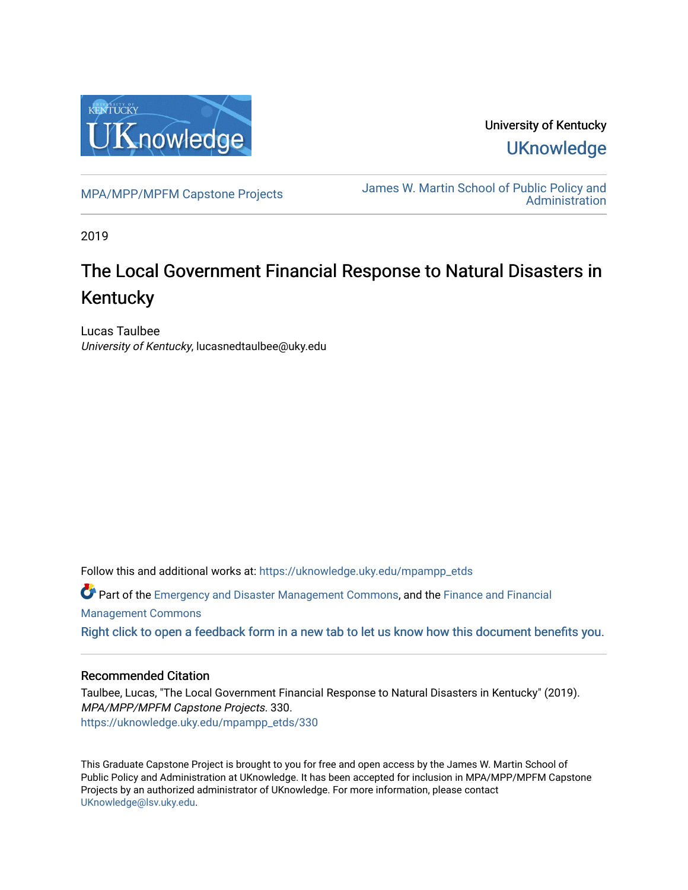

University of Kentucky **UKnowledge** 

[MPA/MPP/MPFM Capstone Projects](https://uknowledge.uky.edu/mpampp_etds) James W. Martin School of Public Policy and **Administration** 

2019

# The Local Government Financial Response to Natural Disasters in Kentucky

Lucas Taulbee University of Kentucky, lucasnedtaulbee@uky.edu

Follow this and additional works at: [https://uknowledge.uky.edu/mpampp\\_etds](https://uknowledge.uky.edu/mpampp_etds?utm_source=uknowledge.uky.edu%2Fmpampp_etds%2F330&utm_medium=PDF&utm_campaign=PDFCoverPages)

Part of the [Emergency and Disaster Management Commons,](http://network.bepress.com/hgg/discipline/1321?utm_source=uknowledge.uky.edu%2Fmpampp_etds%2F330&utm_medium=PDF&utm_campaign=PDFCoverPages) and the [Finance and Financial](http://network.bepress.com/hgg/discipline/631?utm_source=uknowledge.uky.edu%2Fmpampp_etds%2F330&utm_medium=PDF&utm_campaign=PDFCoverPages) [Management Commons](http://network.bepress.com/hgg/discipline/631?utm_source=uknowledge.uky.edu%2Fmpampp_etds%2F330&utm_medium=PDF&utm_campaign=PDFCoverPages) [Right click to open a feedback form in a new tab to let us know how this document benefits you.](https://uky.az1.qualtrics.com/jfe/form/SV_9mq8fx2GnONRfz7)

# Recommended Citation

Taulbee, Lucas, "The Local Government Financial Response to Natural Disasters in Kentucky" (2019). MPA/MPP/MPFM Capstone Projects. 330. [https://uknowledge.uky.edu/mpampp\\_etds/330](https://uknowledge.uky.edu/mpampp_etds/330?utm_source=uknowledge.uky.edu%2Fmpampp_etds%2F330&utm_medium=PDF&utm_campaign=PDFCoverPages)

This Graduate Capstone Project is brought to you for free and open access by the James W. Martin School of Public Policy and Administration at UKnowledge. It has been accepted for inclusion in MPA/MPP/MPFM Capstone Projects by an authorized administrator of UKnowledge. For more information, please contact [UKnowledge@lsv.uky.edu.](mailto:UKnowledge@lsv.uky.edu)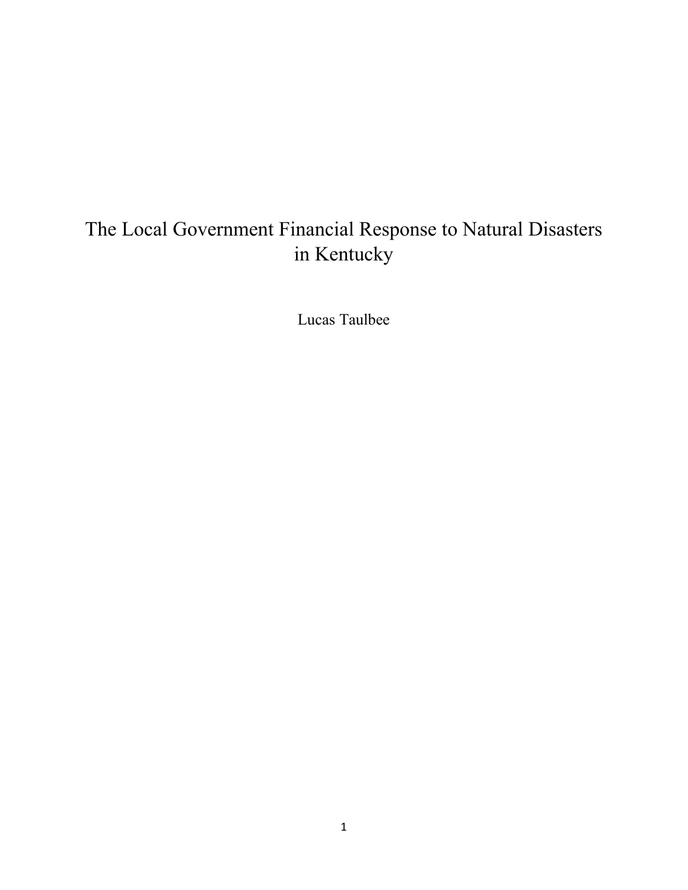# The Local Government Financial Response to Natural Disasters in Kentucky

Lucas Taulbee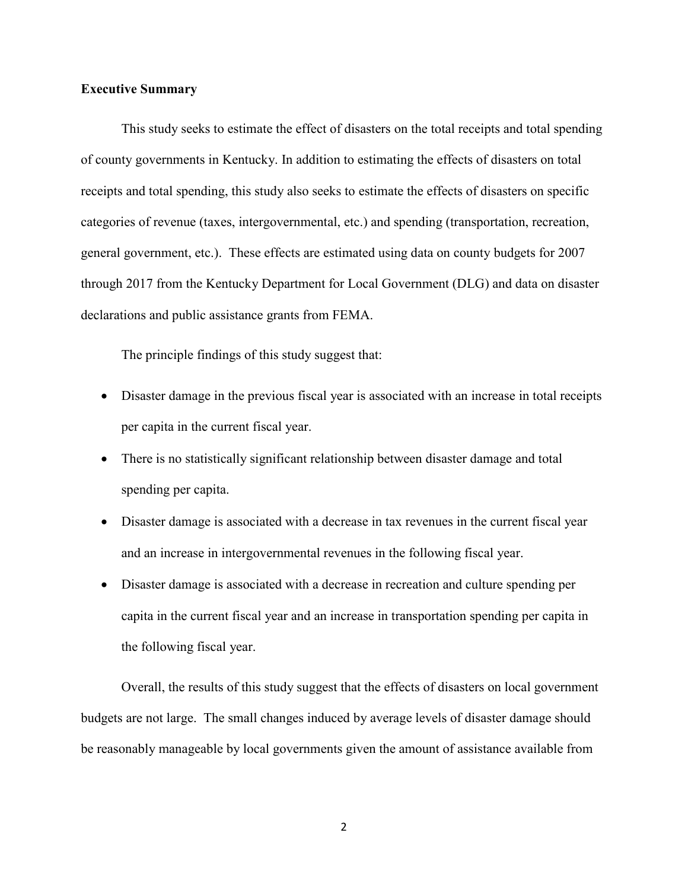### **Executive Summary**

This study seeks to estimate the effect of disasters on the total receipts and total spending of county governments in Kentucky. In addition to estimating the effects of disasters on total receipts and total spending, this study also seeks to estimate the effects of disasters on specific categories of revenue (taxes, intergovernmental, etc.) and spending (transportation, recreation, general government, etc.). These effects are estimated using data on county budgets for 2007 through 2017 from the Kentucky Department for Local Government (DLG) and data on disaster declarations and public assistance grants from FEMA.

The principle findings of this study suggest that:

- Disaster damage in the previous fiscal year is associated with an increase in total receipts per capita in the current fiscal year.
- There is no statistically significant relationship between disaster damage and total spending per capita.
- Disaster damage is associated with a decrease in tax revenues in the current fiscal year and an increase in intergovernmental revenues in the following fiscal year.
- Disaster damage is associated with a decrease in recreation and culture spending per capita in the current fiscal year and an increase in transportation spending per capita in the following fiscal year.

Overall, the results of this study suggest that the effects of disasters on local government budgets are not large. The small changes induced by average levels of disaster damage should be reasonably manageable by local governments given the amount of assistance available from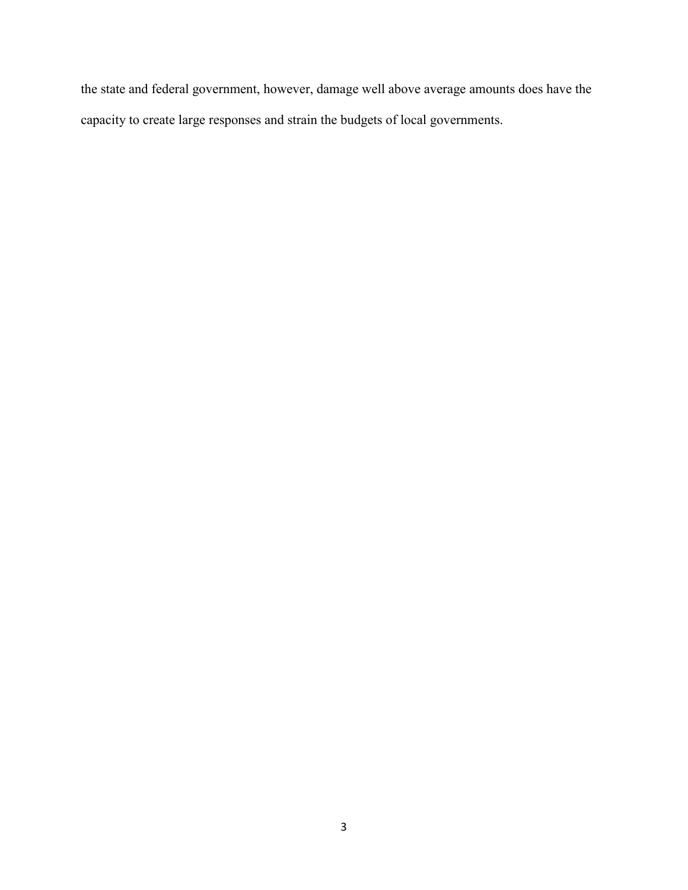the state and federal government, however, damage well above average amounts does have the capacity to create large responses and strain the budgets of local governments.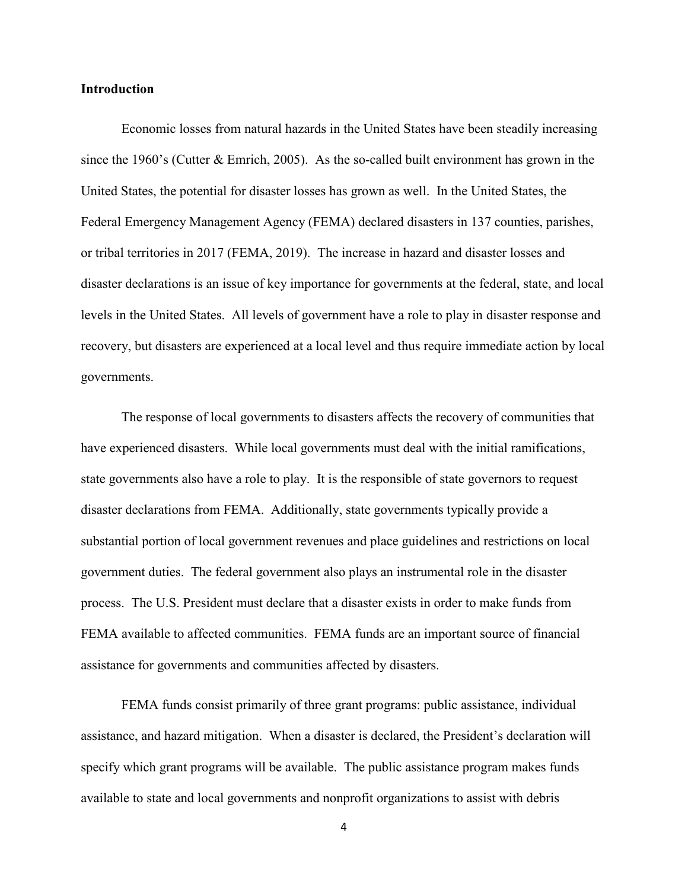#### **Introduction**

Economic losses from natural hazards in the United States have been steadily increasing since the 1960's (Cutter & Emrich, 2005). As the so-called built environment has grown in the United States, the potential for disaster losses has grown as well. In the United States, the Federal Emergency Management Agency (FEMA) declared disasters in 137 counties, parishes, or tribal territories in 2017 (FEMA, 2019). The increase in hazard and disaster losses and disaster declarations is an issue of key importance for governments at the federal, state, and local levels in the United States. All levels of government have a role to play in disaster response and recovery, but disasters are experienced at a local level and thus require immediate action by local governments.

The response of local governments to disasters affects the recovery of communities that have experienced disasters. While local governments must deal with the initial ramifications, state governments also have a role to play. It is the responsible of state governors to request disaster declarations from FEMA. Additionally, state governments typically provide a substantial portion of local government revenues and place guidelines and restrictions on local government duties. The federal government also plays an instrumental role in the disaster process. The U.S. President must declare that a disaster exists in order to make funds from FEMA available to affected communities. FEMA funds are an important source of financial assistance for governments and communities affected by disasters.

FEMA funds consist primarily of three grant programs: public assistance, individual assistance, and hazard mitigation. When a disaster is declared, the President's declaration will specify which grant programs will be available. The public assistance program makes funds available to state and local governments and nonprofit organizations to assist with debris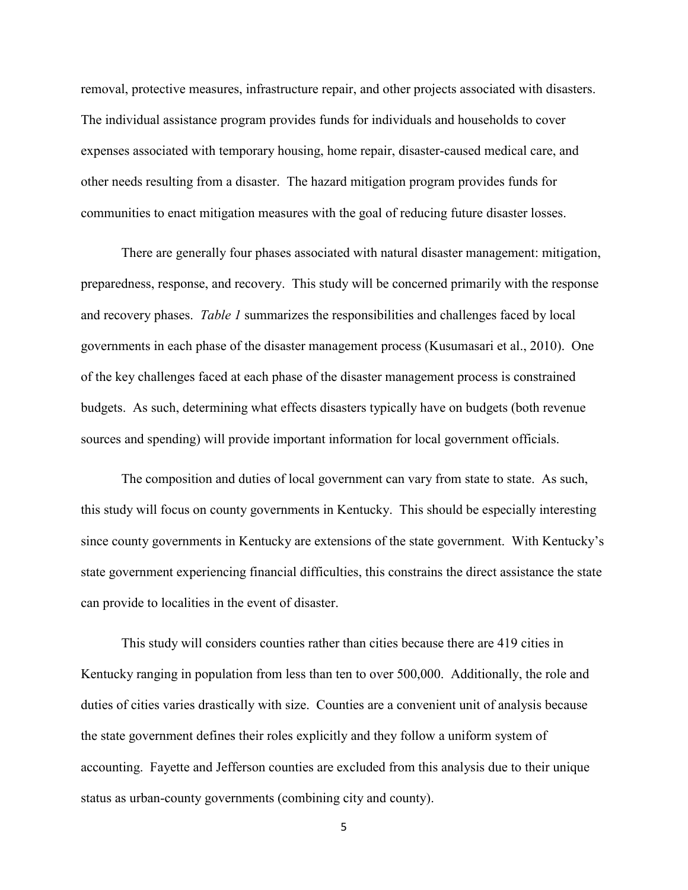removal, protective measures, infrastructure repair, and other projects associated with disasters. The individual assistance program provides funds for individuals and households to cover expenses associated with temporary housing, home repair, disaster-caused medical care, and other needs resulting from a disaster. The hazard mitigation program provides funds for communities to enact mitigation measures with the goal of reducing future disaster losses.

There are generally four phases associated with natural disaster management: mitigation, preparedness, response, and recovery. This study will be concerned primarily with the response and recovery phases. *Table 1* summarizes the responsibilities and challenges faced by local governments in each phase of the disaster management process (Kusumasari et al., 2010). One of the key challenges faced at each phase of the disaster management process is constrained budgets. As such, determining what effects disasters typically have on budgets (both revenue sources and spending) will provide important information for local government officials.

The composition and duties of local government can vary from state to state. As such, this study will focus on county governments in Kentucky. This should be especially interesting since county governments in Kentucky are extensions of the state government. With Kentucky's state government experiencing financial difficulties, this constrains the direct assistance the state can provide to localities in the event of disaster.

This study will considers counties rather than cities because there are 419 cities in Kentucky ranging in population from less than ten to over 500,000. Additionally, the role and duties of cities varies drastically with size. Counties are a convenient unit of analysis because the state government defines their roles explicitly and they follow a uniform system of accounting. Fayette and Jefferson counties are excluded from this analysis due to their unique status as urban-county governments (combining city and county).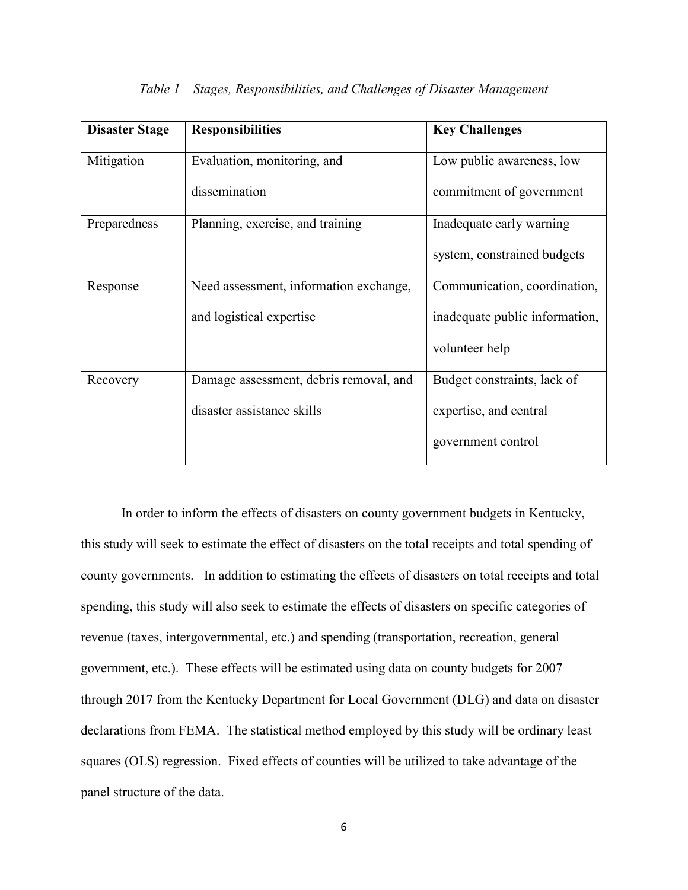| <b>Disaster Stage</b> | <b>Responsibilities</b>                | <b>Key Challenges</b>          |
|-----------------------|----------------------------------------|--------------------------------|
| Mitigation            | Evaluation, monitoring, and            | Low public awareness, low      |
|                       | dissemination                          | commitment of government       |
| Preparedness          | Planning, exercise, and training       | Inadequate early warning       |
|                       |                                        | system, constrained budgets    |
| Response              | Need assessment, information exchange, | Communication, coordination,   |
|                       | and logistical expertise               | inadequate public information, |
|                       |                                        | volunteer help                 |
| Recovery              | Damage assessment, debris removal, and | Budget constraints, lack of    |
|                       | disaster assistance skills             | expertise, and central         |
|                       |                                        | government control             |

#### *Table 1 – Stages, Responsibilities, and Challenges of Disaster Management*

In order to inform the effects of disasters on county government budgets in Kentucky, this study will seek to estimate the effect of disasters on the total receipts and total spending of county governments. In addition to estimating the effects of disasters on total receipts and total spending, this study will also seek to estimate the effects of disasters on specific categories of revenue (taxes, intergovernmental, etc.) and spending (transportation, recreation, general government, etc.). These effects will be estimated using data on county budgets for 2007 through 2017 from the Kentucky Department for Local Government (DLG) and data on disaster declarations from FEMA. The statistical method employed by this study will be ordinary least squares (OLS) regression. Fixed effects of counties will be utilized to take advantage of the panel structure of the data.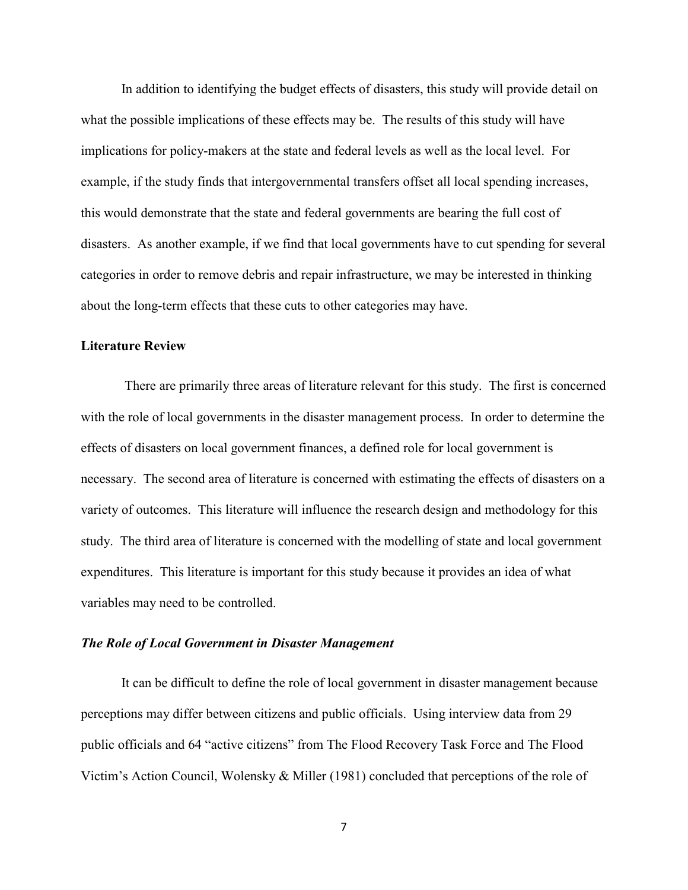In addition to identifying the budget effects of disasters, this study will provide detail on what the possible implications of these effects may be. The results of this study will have implications for policy-makers at the state and federal levels as well as the local level. For example, if the study finds that intergovernmental transfers offset all local spending increases, this would demonstrate that the state and federal governments are bearing the full cost of disasters. As another example, if we find that local governments have to cut spending for several categories in order to remove debris and repair infrastructure, we may be interested in thinking about the long-term effects that these cuts to other categories may have.

# **Literature Review**

There are primarily three areas of literature relevant for this study. The first is concerned with the role of local governments in the disaster management process. In order to determine the effects of disasters on local government finances, a defined role for local government is necessary. The second area of literature is concerned with estimating the effects of disasters on a variety of outcomes. This literature will influence the research design and methodology for this study. The third area of literature is concerned with the modelling of state and local government expenditures. This literature is important for this study because it provides an idea of what variables may need to be controlled.

#### *The Role of Local Government in Disaster Management*

It can be difficult to define the role of local government in disaster management because perceptions may differ between citizens and public officials. Using interview data from 29 public officials and 64 "active citizens" from The Flood Recovery Task Force and The Flood Victim's Action Council, Wolensky & Miller (1981) concluded that perceptions of the role of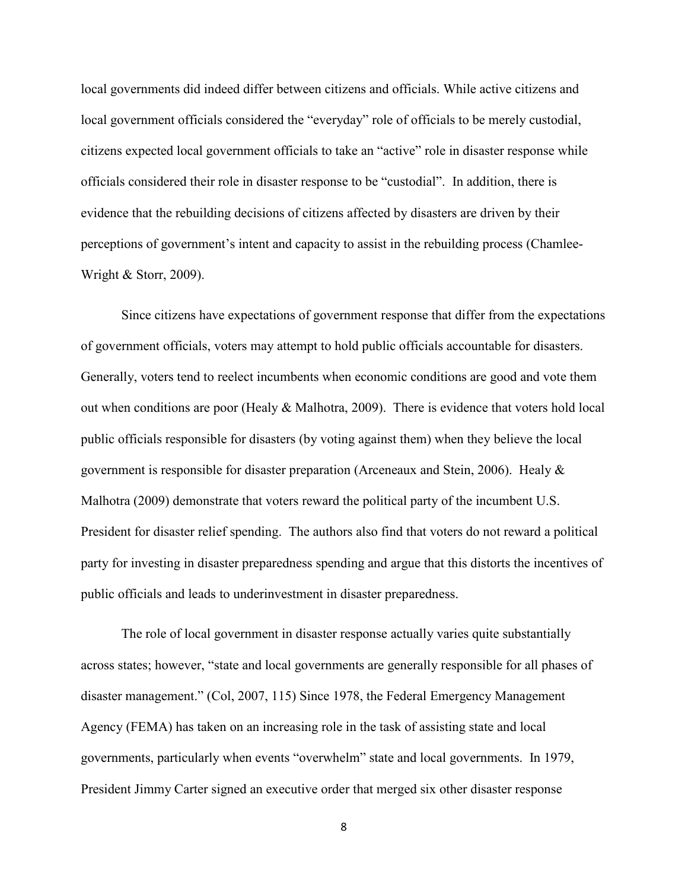local governments did indeed differ between citizens and officials. While active citizens and local government officials considered the "everyday" role of officials to be merely custodial, citizens expected local government officials to take an "active" role in disaster response while officials considered their role in disaster response to be "custodial". In addition, there is evidence that the rebuilding decisions of citizens affected by disasters are driven by their perceptions of government's intent and capacity to assist in the rebuilding process (Chamlee-Wright & Storr, 2009).

Since citizens have expectations of government response that differ from the expectations of government officials, voters may attempt to hold public officials accountable for disasters. Generally, voters tend to reelect incumbents when economic conditions are good and vote them out when conditions are poor (Healy & Malhotra, 2009). There is evidence that voters hold local public officials responsible for disasters (by voting against them) when they believe the local government is responsible for disaster preparation (Arceneaux and Stein, 2006). Healy & Malhotra (2009) demonstrate that voters reward the political party of the incumbent U.S. President for disaster relief spending. The authors also find that voters do not reward a political party for investing in disaster preparedness spending and argue that this distorts the incentives of public officials and leads to underinvestment in disaster preparedness.

The role of local government in disaster response actually varies quite substantially across states; however, "state and local governments are generally responsible for all phases of disaster management." (Col, 2007, 115) Since 1978, the Federal Emergency Management Agency (FEMA) has taken on an increasing role in the task of assisting state and local governments, particularly when events "overwhelm" state and local governments. In 1979, President Jimmy Carter signed an executive order that merged six other disaster response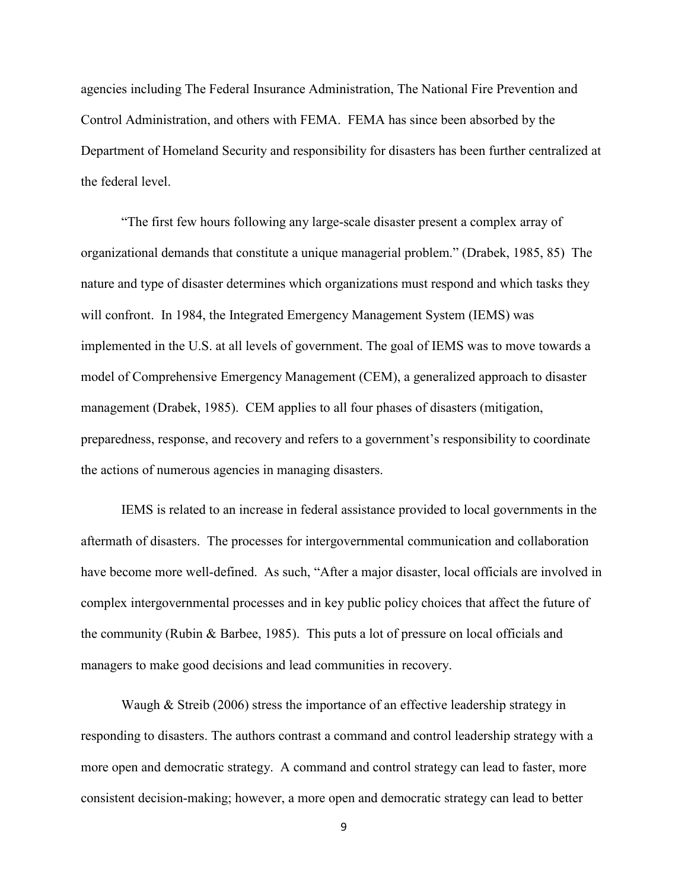agencies including The Federal Insurance Administration, The National Fire Prevention and Control Administration, and others with FEMA. FEMA has since been absorbed by the Department of Homeland Security and responsibility for disasters has been further centralized at the federal level.

"The first few hours following any large-scale disaster present a complex array of organizational demands that constitute a unique managerial problem." (Drabek, 1985, 85) The nature and type of disaster determines which organizations must respond and which tasks they will confront. In 1984, the Integrated Emergency Management System (IEMS) was implemented in the U.S. at all levels of government. The goal of IEMS was to move towards a model of Comprehensive Emergency Management (CEM), a generalized approach to disaster management (Drabek, 1985). CEM applies to all four phases of disasters (mitigation, preparedness, response, and recovery and refers to a government's responsibility to coordinate the actions of numerous agencies in managing disasters.

IEMS is related to an increase in federal assistance provided to local governments in the aftermath of disasters. The processes for intergovernmental communication and collaboration have become more well-defined. As such, "After a major disaster, local officials are involved in complex intergovernmental processes and in key public policy choices that affect the future of the community (Rubin & Barbee, 1985). This puts a lot of pressure on local officials and managers to make good decisions and lead communities in recovery.

Waugh & Streib (2006) stress the importance of an effective leadership strategy in responding to disasters. The authors contrast a command and control leadership strategy with a more open and democratic strategy. A command and control strategy can lead to faster, more consistent decision-making; however, a more open and democratic strategy can lead to better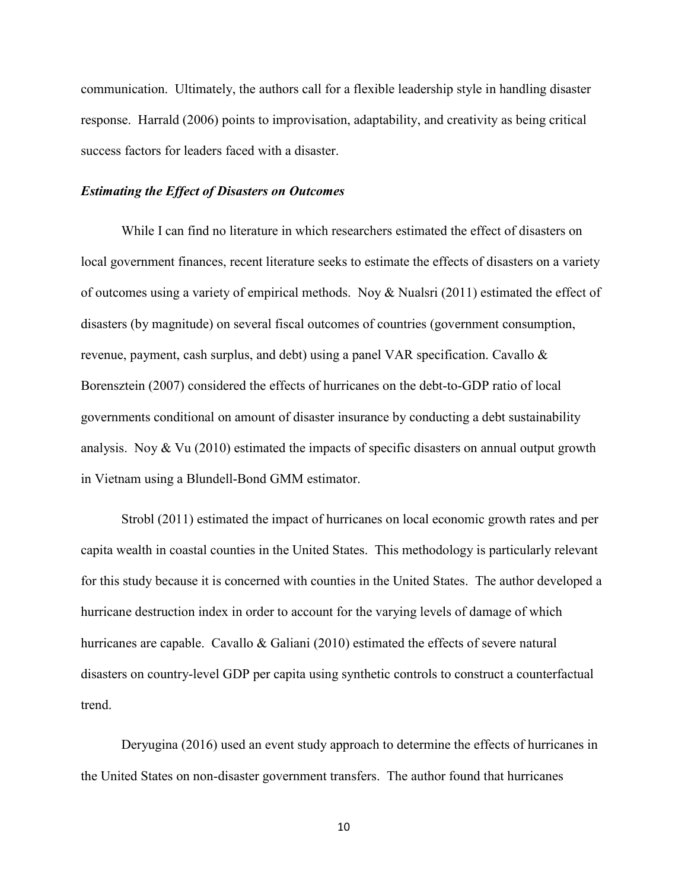communication. Ultimately, the authors call for a flexible leadership style in handling disaster response. Harrald (2006) points to improvisation, adaptability, and creativity as being critical success factors for leaders faced with a disaster.

#### *Estimating the Effect of Disasters on Outcomes*

While I can find no literature in which researchers estimated the effect of disasters on local government finances, recent literature seeks to estimate the effects of disasters on a variety of outcomes using a variety of empirical methods. Noy & Nualsri (2011) estimated the effect of disasters (by magnitude) on several fiscal outcomes of countries (government consumption, revenue, payment, cash surplus, and debt) using a panel VAR specification. Cavallo & Borensztein (2007) considered the effects of hurricanes on the debt-to-GDP ratio of local governments conditional on amount of disaster insurance by conducting a debt sustainability analysis. Noy & Vu  $(2010)$  estimated the impacts of specific disasters on annual output growth in Vietnam using a Blundell-Bond GMM estimator.

Strobl (2011) estimated the impact of hurricanes on local economic growth rates and per capita wealth in coastal counties in the United States. This methodology is particularly relevant for this study because it is concerned with counties in the United States. The author developed a hurricane destruction index in order to account for the varying levels of damage of which hurricanes are capable. Cavallo & Galiani (2010) estimated the effects of severe natural disasters on country-level GDP per capita using synthetic controls to construct a counterfactual trend.

Deryugina (2016) used an event study approach to determine the effects of hurricanes in the United States on non-disaster government transfers. The author found that hurricanes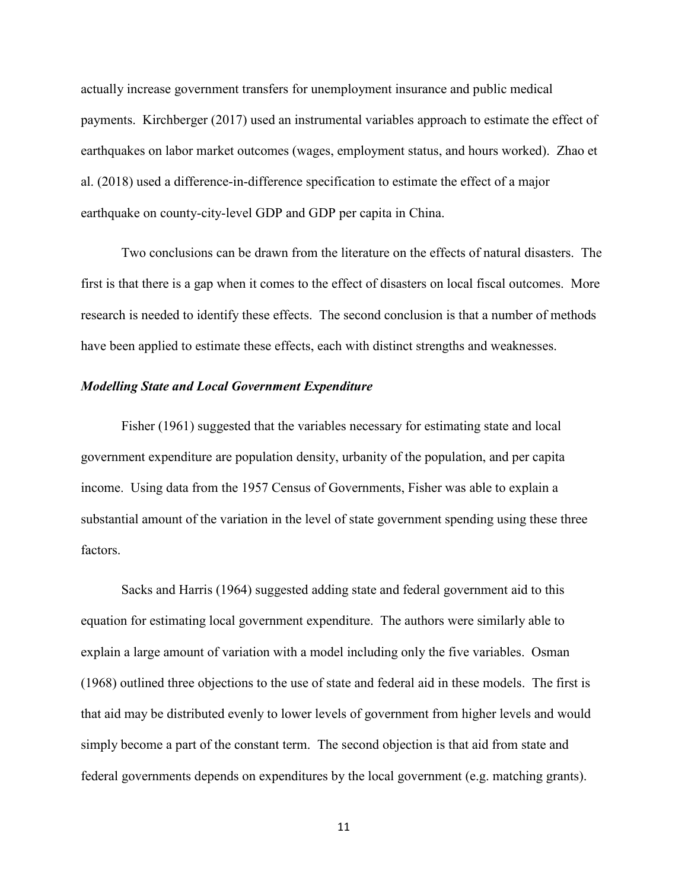actually increase government transfers for unemployment insurance and public medical payments. Kirchberger (2017) used an instrumental variables approach to estimate the effect of earthquakes on labor market outcomes (wages, employment status, and hours worked). Zhao et al. (2018) used a difference-in-difference specification to estimate the effect of a major earthquake on county-city-level GDP and GDP per capita in China.

Two conclusions can be drawn from the literature on the effects of natural disasters. The first is that there is a gap when it comes to the effect of disasters on local fiscal outcomes. More research is needed to identify these effects. The second conclusion is that a number of methods have been applied to estimate these effects, each with distinct strengths and weaknesses.

#### *Modelling State and Local Government Expenditure*

Fisher (1961) suggested that the variables necessary for estimating state and local government expenditure are population density, urbanity of the population, and per capita income. Using data from the 1957 Census of Governments, Fisher was able to explain a substantial amount of the variation in the level of state government spending using these three factors.

Sacks and Harris (1964) suggested adding state and federal government aid to this equation for estimating local government expenditure. The authors were similarly able to explain a large amount of variation with a model including only the five variables. Osman (1968) outlined three objections to the use of state and federal aid in these models. The first is that aid may be distributed evenly to lower levels of government from higher levels and would simply become a part of the constant term. The second objection is that aid from state and federal governments depends on expenditures by the local government (e.g. matching grants).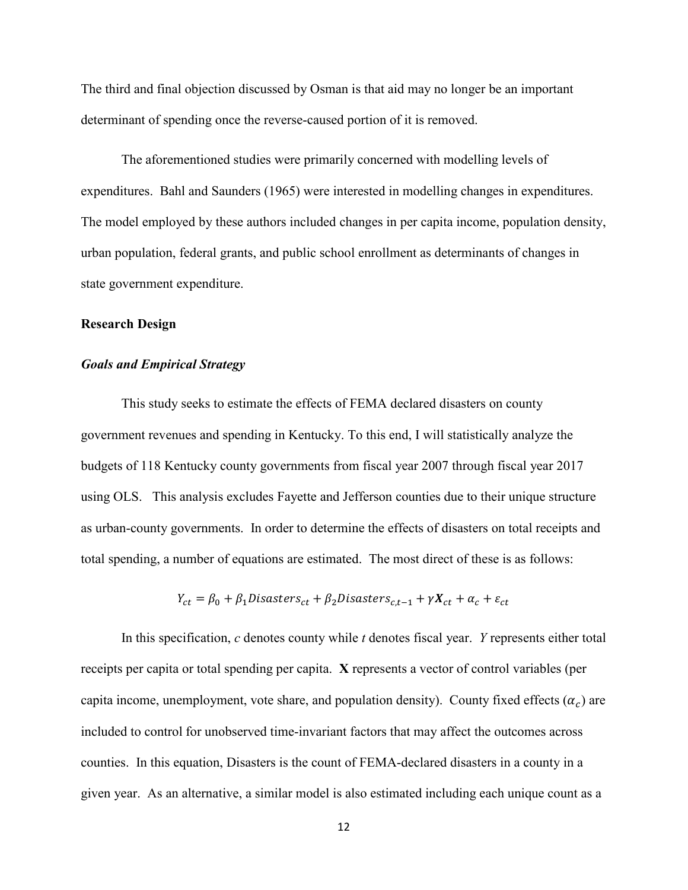The third and final objection discussed by Osman is that aid may no longer be an important determinant of spending once the reverse-caused portion of it is removed.

The aforementioned studies were primarily concerned with modelling levels of expenditures. Bahl and Saunders (1965) were interested in modelling changes in expenditures. The model employed by these authors included changes in per capita income, population density, urban population, federal grants, and public school enrollment as determinants of changes in state government expenditure.

#### **Research Design**

### *Goals and Empirical Strategy*

This study seeks to estimate the effects of FEMA declared disasters on county government revenues and spending in Kentucky. To this end, I will statistically analyze the budgets of 118 Kentucky county governments from fiscal year 2007 through fiscal year 2017 using OLS. This analysis excludes Fayette and Jefferson counties due to their unique structure as urban-county governments. In order to determine the effects of disasters on total receipts and total spending, a number of equations are estimated. The most direct of these is as follows:

$$
Y_{ct} = \beta_0 + \beta_1 \text{Disasters}_{ct} + \beta_2 \text{Disasters}_{c,t-1} + \gamma X_{ct} + \alpha_c + \varepsilon_{ct}
$$

In this specification, *c* denotes county while *t* denotes fiscal year. *Y* represents either total receipts per capita or total spending per capita. **X** represents a vector of control variables (per capita income, unemployment, vote share, and population density). County fixed effects  $(\alpha_c)$  are included to control for unobserved time-invariant factors that may affect the outcomes across counties. In this equation, Disasters is the count of FEMA-declared disasters in a county in a given year. As an alternative, a similar model is also estimated including each unique count as a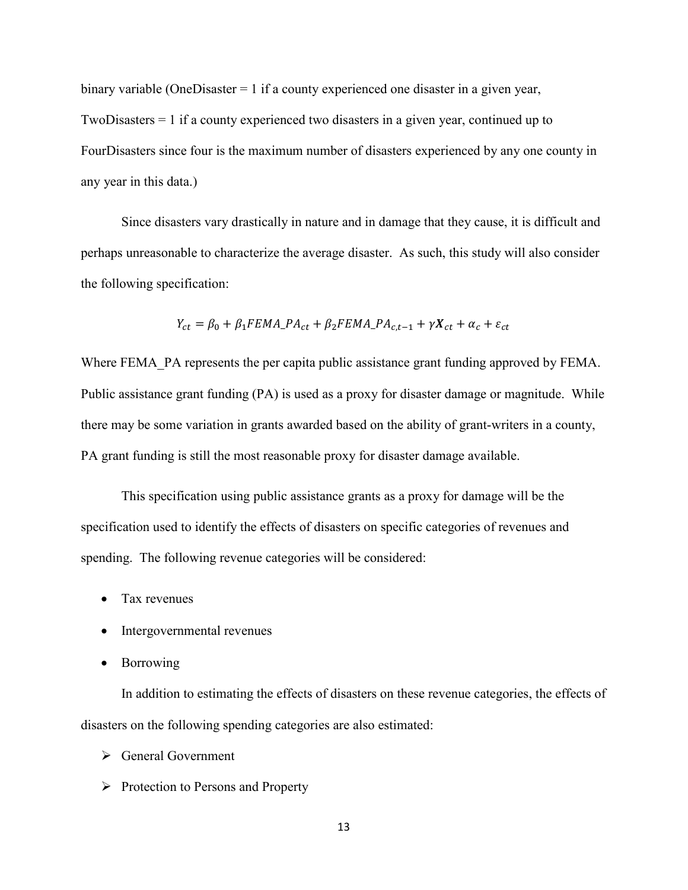binary variable (OneDisaster  $= 1$  if a county experienced one disaster in a given year, TwoDisasters = 1 if a county experienced two disasters in a given year, continued up to FourDisasters since four is the maximum number of disasters experienced by any one county in any year in this data.)

Since disasters vary drastically in nature and in damage that they cause, it is difficult and perhaps unreasonable to characterize the average disaster. As such, this study will also consider the following specification:

$$
Y_{ct} = \beta_0 + \beta_1 FEMA_{c1} + \beta_2 FEMA_{c1} + \gamma X_{ct} + \alpha_c + \varepsilon_{ct}
$$

Where FEMA PA represents the per capita public assistance grant funding approved by FEMA. Public assistance grant funding (PA) is used as a proxy for disaster damage or magnitude. While there may be some variation in grants awarded based on the ability of grant-writers in a county, PA grant funding is still the most reasonable proxy for disaster damage available.

This specification using public assistance grants as a proxy for damage will be the specification used to identify the effects of disasters on specific categories of revenues and spending. The following revenue categories will be considered:

- Tax revenues
- Intergovernmental revenues
- Borrowing

In addition to estimating the effects of disasters on these revenue categories, the effects of disasters on the following spending categories are also estimated:

- General Government
- $\triangleright$  Protection to Persons and Property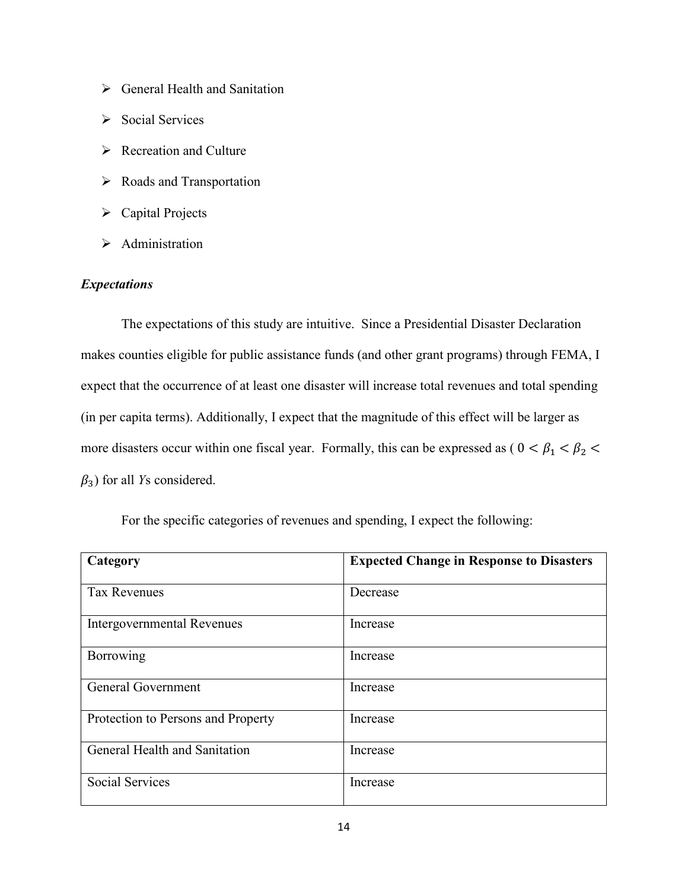- General Health and Sanitation
- $\triangleright$  Social Services
- $\triangleright$  Recreation and Culture
- > Roads and Transportation
- Capital Projects
- > Administration

# *Expectations*

The expectations of this study are intuitive. Since a Presidential Disaster Declaration makes counties eligible for public assistance funds (and other grant programs) through FEMA, I expect that the occurrence of at least one disaster will increase total revenues and total spending (in per capita terms). Additionally, I expect that the magnitude of this effect will be larger as more disasters occur within one fiscal year. Formally, this can be expressed as ( $0 < \beta_1 < \beta_2 <$  $\beta_3$ ) for all *Ys* considered.

|  | For the specific categories of revenues and spending, I expect the following: |  |
|--|-------------------------------------------------------------------------------|--|
|  |                                                                               |  |

| Category                           | <b>Expected Change in Response to Disasters</b> |
|------------------------------------|-------------------------------------------------|
| <b>Tax Revenues</b>                | Decrease                                        |
| <b>Intergovernmental Revenues</b>  | Increase                                        |
| Borrowing                          | Increase                                        |
| <b>General Government</b>          | Increase                                        |
| Protection to Persons and Property | Increase                                        |
| General Health and Sanitation      | Increase                                        |
| <b>Social Services</b>             | Increase                                        |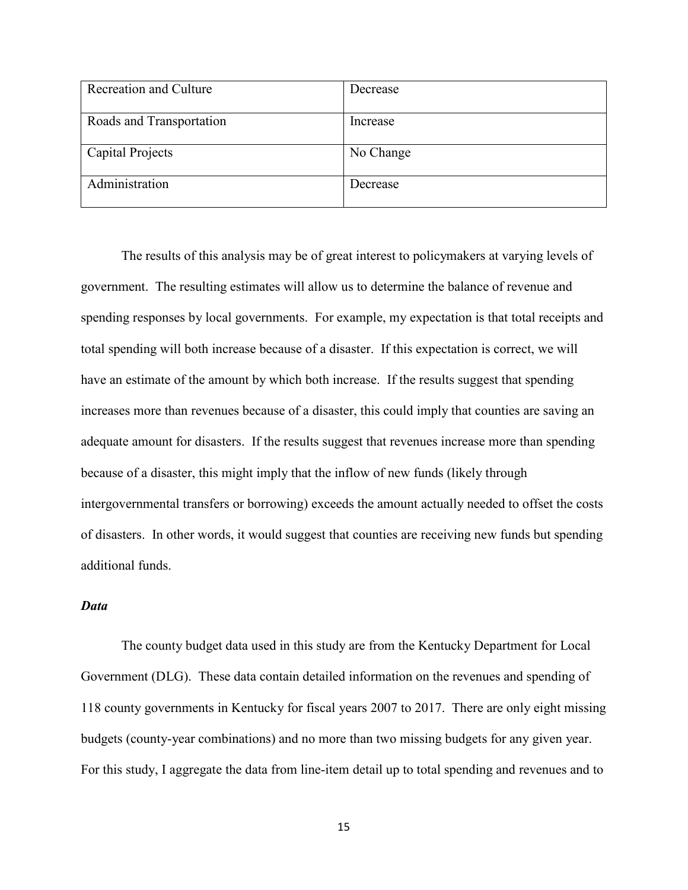| <b>Recreation and Culture</b> | Decrease  |
|-------------------------------|-----------|
| Roads and Transportation      | Increase  |
|                               |           |
| Capital Projects              | No Change |
|                               |           |
| Administration                | Decrease  |
|                               |           |

The results of this analysis may be of great interest to policymakers at varying levels of government. The resulting estimates will allow us to determine the balance of revenue and spending responses by local governments. For example, my expectation is that total receipts and total spending will both increase because of a disaster. If this expectation is correct, we will have an estimate of the amount by which both increase. If the results suggest that spending increases more than revenues because of a disaster, this could imply that counties are saving an adequate amount for disasters. If the results suggest that revenues increase more than spending because of a disaster, this might imply that the inflow of new funds (likely through intergovernmental transfers or borrowing) exceeds the amount actually needed to offset the costs of disasters. In other words, it would suggest that counties are receiving new funds but spending additional funds.

#### *Data*

The county budget data used in this study are from the Kentucky Department for Local Government (DLG). These data contain detailed information on the revenues and spending of 118 county governments in Kentucky for fiscal years 2007 to 2017. There are only eight missing budgets (county-year combinations) and no more than two missing budgets for any given year. For this study, I aggregate the data from line-item detail up to total spending and revenues and to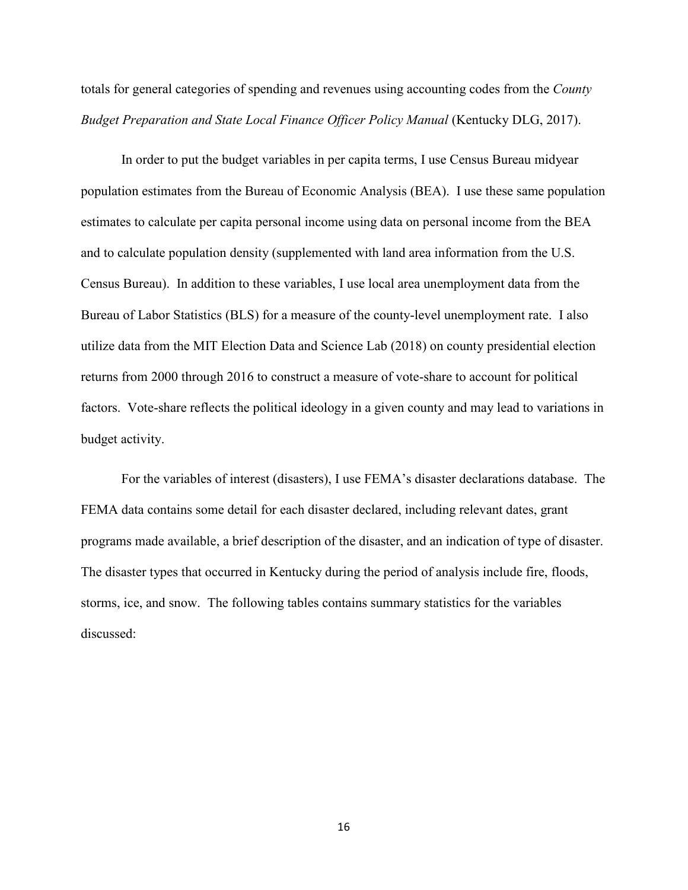totals for general categories of spending and revenues using accounting codes from the *County Budget Preparation and State Local Finance Officer Policy Manual (Kentucky DLG, 2017).* 

In order to put the budget variables in per capita terms, I use Census Bureau midyear population estimates from the Bureau of Economic Analysis (BEA). I use these same population estimates to calculate per capita personal income using data on personal income from the BEA and to calculate population density (supplemented with land area information from the U.S. Census Bureau). In addition to these variables, I use local area unemployment data from the Bureau of Labor Statistics (BLS) for a measure of the county-level unemployment rate. I also utilize data from the MIT Election Data and Science Lab (2018) on county presidential election returns from 2000 through 2016 to construct a measure of vote-share to account for political factors. Vote-share reflects the political ideology in a given county and may lead to variations in budget activity.

For the variables of interest (disasters), I use FEMA's disaster declarations database. The FEMA data contains some detail for each disaster declared, including relevant dates, grant programs made available, a brief description of the disaster, and an indication of type of disaster. The disaster types that occurred in Kentucky during the period of analysis include fire, floods, storms, ice, and snow. The following tables contains summary statistics for the variables discussed: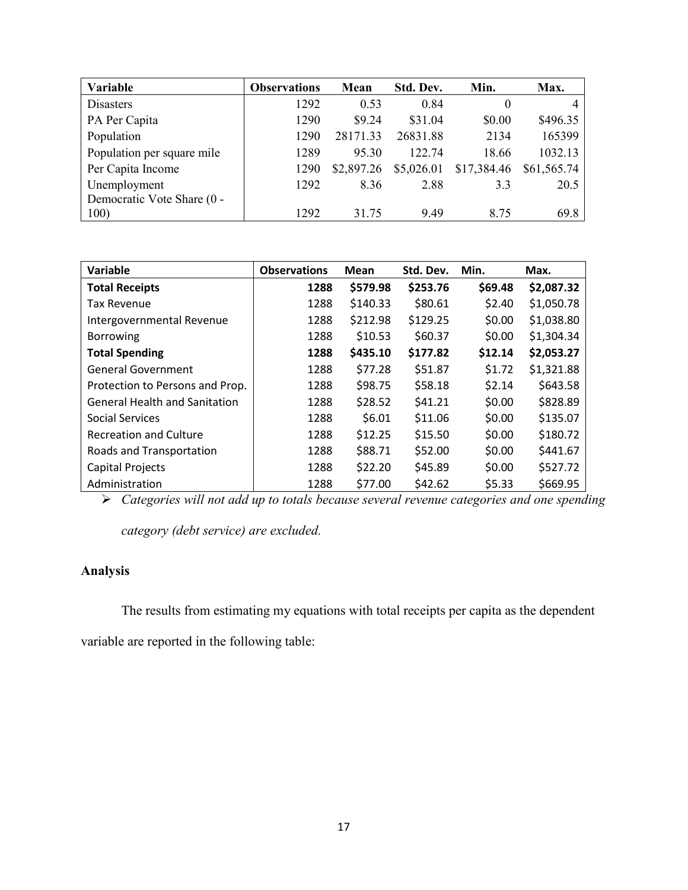| Variable                   | <b>Observations</b> | Mean       | Std. Dev.  | Min.        | Max.        |
|----------------------------|---------------------|------------|------------|-------------|-------------|
| <b>Disasters</b>           | 1292                | 0.53       | 0.84       | 0           |             |
| PA Per Capita              | 1290                | \$9.24     | \$31.04    | \$0.00      | \$496.35    |
| Population                 | 1290                | 28171.33   | 26831.88   | 2134        | 165399      |
| Population per square mile | 1289                | 95.30      | 122.74     | 18.66       | 1032.13     |
| Per Capita Income          | 1290                | \$2,897.26 | \$5,026.01 | \$17,384.46 | \$61,565.74 |
| Unemployment               | 1292                | 8.36       | 2.88       | 3.3         | 20.5        |
| Democratic Vote Share (0 - |                     |            |            |             |             |
| 100)                       | 1292                | 31.75      | 9.49       | 8.75        | 69.8        |

| Variable                             | <b>Observations</b> | <b>Mean</b> | Std. Dev. | Min.    | Max.       |
|--------------------------------------|---------------------|-------------|-----------|---------|------------|
| <b>Total Receipts</b>                | 1288                | \$579.98    | \$253.76  | \$69.48 | \$2,087.32 |
| <b>Tax Revenue</b>                   | 1288                | \$140.33    | \$80.61   | \$2.40  | \$1,050.78 |
| Intergovernmental Revenue            | 1288                | \$212.98    | \$129.25  | \$0.00  | \$1,038.80 |
| <b>Borrowing</b>                     | 1288                | \$10.53     | \$60.37   | \$0.00  | \$1,304.34 |
| <b>Total Spending</b>                | 1288                | \$435.10    | \$177.82  | \$12.14 | \$2,053.27 |
| <b>General Government</b>            | 1288                | \$77.28     | \$51.87   | \$1.72  | \$1,321.88 |
| Protection to Persons and Prop.      | 1288                | \$98.75     | \$58.18   | \$2.14  | \$643.58   |
| <b>General Health and Sanitation</b> | 1288                | \$28.52     | \$41.21   | \$0.00  | \$828.89   |
| Social Services                      | 1288                | \$6.01      | \$11.06   | \$0.00  | \$135.07   |
| <b>Recreation and Culture</b>        | 1288                | \$12.25     | \$15.50   | \$0.00  | \$180.72   |
| Roads and Transportation             | 1288                | \$88.71     | \$52.00   | \$0.00  | \$441.67   |
| <b>Capital Projects</b>              | 1288                | \$22.20     | \$45.89   | \$0.00  | \$527.72   |
| Administration                       | 1288                | \$77.00     | \$42.62   | \$5.33  | \$669.95   |

*Categories will not add up to totals because several revenue categories and one spending* 

*category (debt service) are excluded.*

# **Analysis**

The results from estimating my equations with total receipts per capita as the dependent

variable are reported in the following table: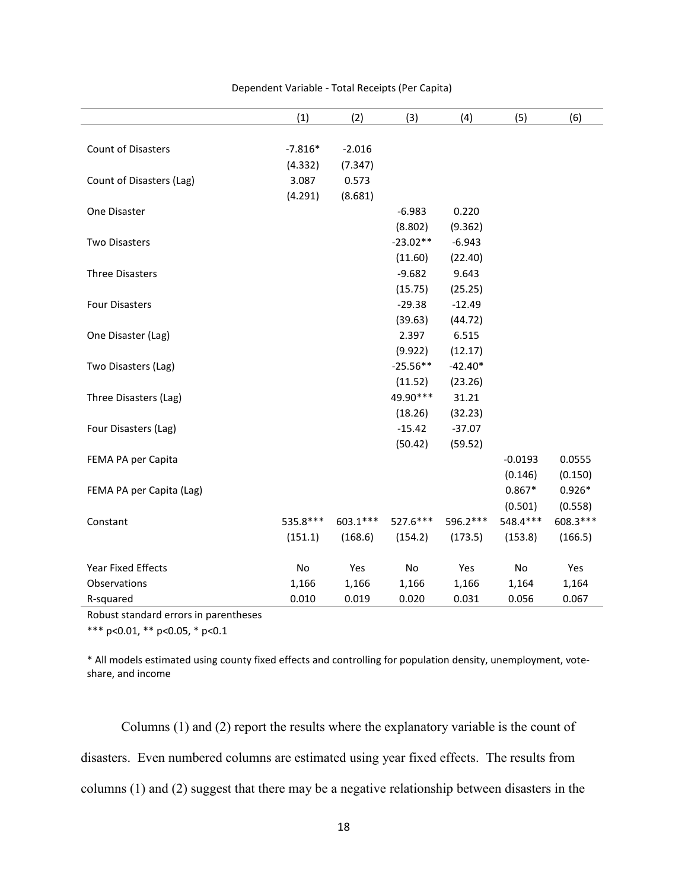|                          | (1)           | (2)       | (3)        | (4)       | (5)       | (6)       |
|--------------------------|---------------|-----------|------------|-----------|-----------|-----------|
|                          |               |           |            |           |           |           |
| Count of Disasters       | $-7.816*$     | $-2.016$  |            |           |           |           |
|                          | (4.332)       | (7.347)   |            |           |           |           |
| Count of Disasters (Lag) | 3.087         | 0.573     |            |           |           |           |
|                          | (4.291)       | (8.681)   |            |           |           |           |
| One Disaster             |               |           | $-6.983$   | 0.220     |           |           |
|                          |               |           | (8.802)    | (9.362)   |           |           |
| <b>Two Disasters</b>     |               |           | $-23.02**$ | $-6.943$  |           |           |
|                          |               |           | (11.60)    | (22.40)   |           |           |
| <b>Three Disasters</b>   |               |           | $-9.682$   | 9.643     |           |           |
|                          |               |           | (15.75)    | (25.25)   |           |           |
| <b>Four Disasters</b>    |               |           | $-29.38$   | $-12.49$  |           |           |
|                          |               |           | (39.63)    | (44.72)   |           |           |
| One Disaster (Lag)       |               |           | 2.397      | 6.515     |           |           |
|                          |               |           | (9.922)    | (12.17)   |           |           |
| Two Disasters (Lag)      |               |           | $-25.56**$ | $-42.40*$ |           |           |
|                          |               |           | (11.52)    | (23.26)   |           |           |
| Three Disasters (Lag)    |               |           | 49.90***   | 31.21     |           |           |
|                          |               |           | (18.26)    | (32.23)   |           |           |
| Four Disasters (Lag)     |               |           | $-15.42$   | $-37.07$  |           |           |
|                          |               |           | (50.42)    | (59.52)   |           |           |
| FEMA PA per Capita       |               |           |            |           | $-0.0193$ | 0.0555    |
|                          |               |           |            |           | (0.146)   | (0.150)   |
| FEMA PA per Capita (Lag) |               |           |            |           | $0.867*$  | $0.926*$  |
|                          |               |           |            |           | (0.501)   | (0.558)   |
| Constant                 | 535.8 ***     | 603.1 *** | 527.6***   | 596.2 *** | 548.4 *** | 608.3 *** |
|                          | (151.1)       | (168.6)   | (154.2)    | (173.5)   | (153.8)   | (166.5)   |
| Year Fixed Effects       | $\mathsf{No}$ | Yes       | No         | Yes       | No        | Yes       |
| Observations             | 1,166         | 1,166     | 1,166      | 1,166     | 1,164     | 1,164     |
| R-squared                | 0.010         | 0.019     | 0.020      | 0.031     | 0.056     | 0.067     |

#### Dependent Variable - Total Receipts (Per Capita)

Robust standard errors in parentheses

\*\*\* p<0.01, \*\* p<0.05, \* p<0.1

\* All models estimated using county fixed effects and controlling for population density, unemployment, voteshare, and income

Columns (1) and (2) report the results where the explanatory variable is the count of disasters. Even numbered columns are estimated using year fixed effects. The results from columns (1) and (2) suggest that there may be a negative relationship between disasters in the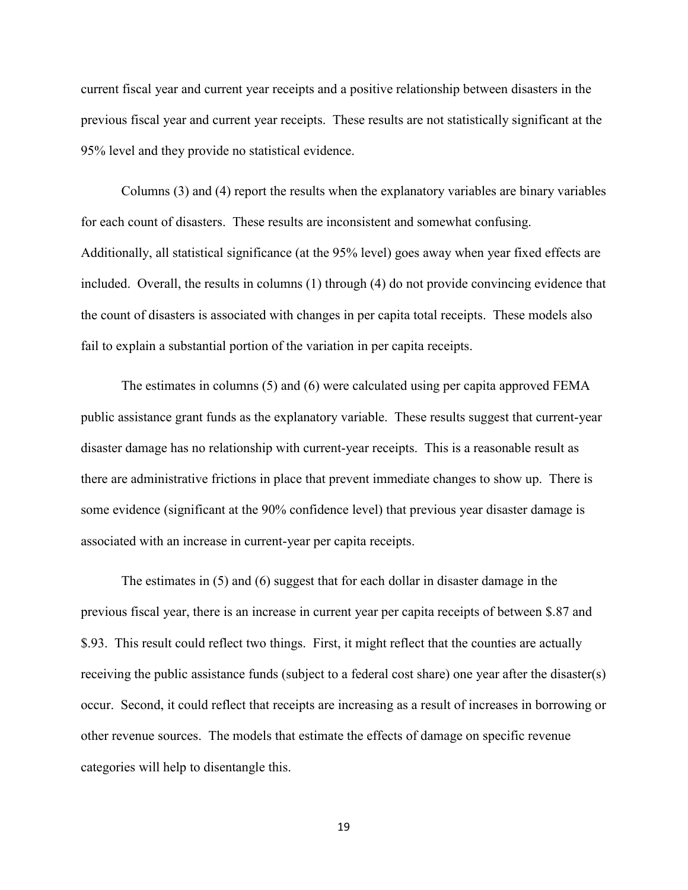current fiscal year and current year receipts and a positive relationship between disasters in the previous fiscal year and current year receipts. These results are not statistically significant at the 95% level and they provide no statistical evidence.

Columns (3) and (4) report the results when the explanatory variables are binary variables for each count of disasters. These results are inconsistent and somewhat confusing. Additionally, all statistical significance (at the 95% level) goes away when year fixed effects are included. Overall, the results in columns (1) through (4) do not provide convincing evidence that the count of disasters is associated with changes in per capita total receipts. These models also fail to explain a substantial portion of the variation in per capita receipts.

The estimates in columns (5) and (6) were calculated using per capita approved FEMA public assistance grant funds as the explanatory variable. These results suggest that current-year disaster damage has no relationship with current-year receipts. This is a reasonable result as there are administrative frictions in place that prevent immediate changes to show up. There is some evidence (significant at the 90% confidence level) that previous year disaster damage is associated with an increase in current-year per capita receipts.

The estimates in (5) and (6) suggest that for each dollar in disaster damage in the previous fiscal year, there is an increase in current year per capita receipts of between \$.87 and \$.93. This result could reflect two things. First, it might reflect that the counties are actually receiving the public assistance funds (subject to a federal cost share) one year after the disaster(s) occur. Second, it could reflect that receipts are increasing as a result of increases in borrowing or other revenue sources. The models that estimate the effects of damage on specific revenue categories will help to disentangle this.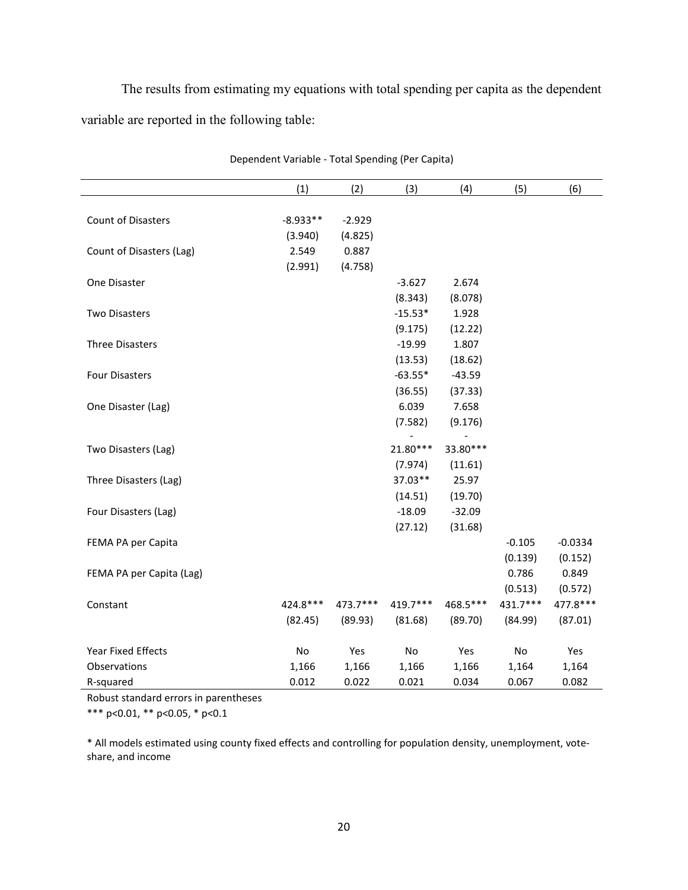The results from estimating my equations with total spending per capita as the dependent variable are reported in the following table:

|                           | (1)        | (2)      | (3)       | (4)      | (5)      | (6)       |
|---------------------------|------------|----------|-----------|----------|----------|-----------|
|                           |            |          |           |          |          |           |
| <b>Count of Disasters</b> | $-8.933**$ | $-2.929$ |           |          |          |           |
|                           | (3.940)    | (4.825)  |           |          |          |           |
| Count of Disasters (Lag)  | 2.549      | 0.887    |           |          |          |           |
|                           | (2.991)    | (4.758)  |           |          |          |           |
| One Disaster              |            |          | $-3.627$  | 2.674    |          |           |
|                           |            |          | (8.343)   | (8.078)  |          |           |
| <b>Two Disasters</b>      |            |          | $-15.53*$ | 1.928    |          |           |
|                           |            |          | (9.175)   | (12.22)  |          |           |
| <b>Three Disasters</b>    |            |          | $-19.99$  | 1.807    |          |           |
|                           |            |          | (13.53)   | (18.62)  |          |           |
| <b>Four Disasters</b>     |            |          | $-63.55*$ | $-43.59$ |          |           |
|                           |            |          | (36.55)   | (37.33)  |          |           |
| One Disaster (Lag)        |            |          | 6.039     | 7.658    |          |           |
|                           |            |          | (7.582)   | (9.176)  |          |           |
|                           |            |          |           |          |          |           |
| Two Disasters (Lag)       |            |          | 21.80***  | 33.80*** |          |           |
|                           |            |          | (7.974)   | (11.61)  |          |           |
| Three Disasters (Lag)     |            |          | 37.03**   | 25.97    |          |           |
|                           |            |          | (14.51)   | (19.70)  |          |           |
| Four Disasters (Lag)      |            |          | $-18.09$  | $-32.09$ |          |           |
|                           |            |          | (27.12)   | (31.68)  |          |           |
| FEMA PA per Capita        |            |          |           |          | $-0.105$ | $-0.0334$ |
|                           |            |          |           |          | (0.139)  | (0.152)   |
| FEMA PA per Capita (Lag)  |            |          |           |          | 0.786    | 0.849     |
|                           |            |          |           |          | (0.513)  | (0.572)   |
| Constant                  | 424.8***   | 473.7*** | 419.7***  | 468.5*** | 431.7*** | 477.8 *** |
|                           | (82.45)    | (89.93)  | (81.68)   | (89.70)  | (84.99)  | (87.01)   |
|                           |            |          |           |          |          |           |
| <b>Year Fixed Effects</b> | No         | Yes      | No        | Yes      | No       | Yes       |
| Observations              | 1,166      | 1,166    | 1,166     | 1,166    | 1,164    | 1,164     |
| R-squared                 | 0.012      | 0.022    | 0.021     | 0.034    | 0.067    | 0.082     |

Dependent Variable - Total Spending (Per Capita)

Robust standard errors in parentheses

\*\*\* p<0.01, \*\* p<0.05, \* p<0.1

\* All models estimated using county fixed effects and controlling for population density, unemployment, voteshare, and income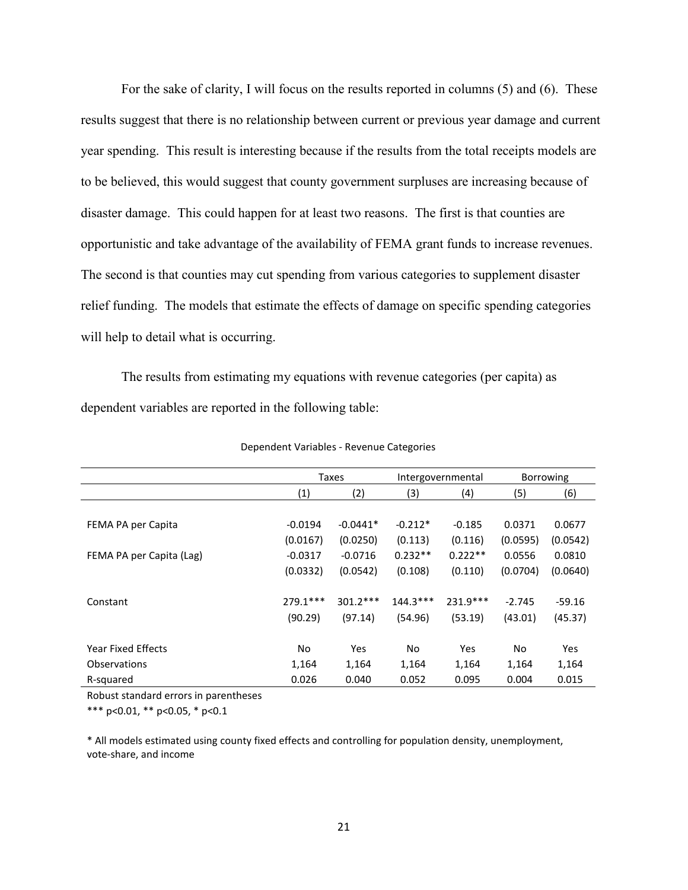For the sake of clarity, I will focus on the results reported in columns (5) and (6). These results suggest that there is no relationship between current or previous year damage and current year spending. This result is interesting because if the results from the total receipts models are to be believed, this would suggest that county government surpluses are increasing because of disaster damage. This could happen for at least two reasons. The first is that counties are opportunistic and take advantage of the availability of FEMA grant funds to increase revenues. The second is that counties may cut spending from various categories to supplement disaster relief funding. The models that estimate the effects of damage on specific spending categories will help to detail what is occurring.

The results from estimating my equations with revenue categories (per capita) as dependent variables are reported in the following table:

|                          | Taxes      |            | Intergovernmental |            | <b>Borrowing</b> |          |
|--------------------------|------------|------------|-------------------|------------|------------------|----------|
|                          | (1)        | (2)        | (3)               | (4)        | (5)              | (6)      |
|                          |            |            |                   |            |                  |          |
| FEMA PA per Capita       | $-0.0194$  | $-0.0441*$ | $-0.212*$         | $-0.185$   | 0.0371           | 0.0677   |
|                          | (0.0167)   | (0.0250)   | (0.113)           | (0.116)    | (0.0595)         | (0.0542) |
| FEMA PA per Capita (Lag) | $-0.0317$  | $-0.0716$  | $0.232**$         | $0.222**$  | 0.0556           | 0.0810   |
|                          | (0.0332)   | (0.0542)   | (0.108)           | (0.110)    | (0.0704)         | (0.0640) |
|                          |            |            |                   |            |                  |          |
| Constant                 | $779.1***$ | $301.2***$ | $144.3***$        | $231.9***$ | $-2.745$         | $-59.16$ |
|                          | (90.29)    | (97.14)    | (54.96)           | (53.19)    | (43.01)          | (45.37)  |
|                          |            |            |                   |            |                  |          |
| Year Fixed Effects       | No         | Yes        | No                | Yes        | <b>No</b>        | Yes      |
| Observations             | 1,164      | 1,164      | 1,164             | 1,164      | 1,164            | 1,164    |
| R-squared                | 0.026      | 0.040      | 0.052             | 0.095      | 0.004            | 0.015    |

Dependent Variables - Revenue Categories

Robust standard errors in parentheses

\*\*\* p<0.01, \*\* p<0.05, \* p<0.1

\* All models estimated using county fixed effects and controlling for population density, unemployment, vote-share, and income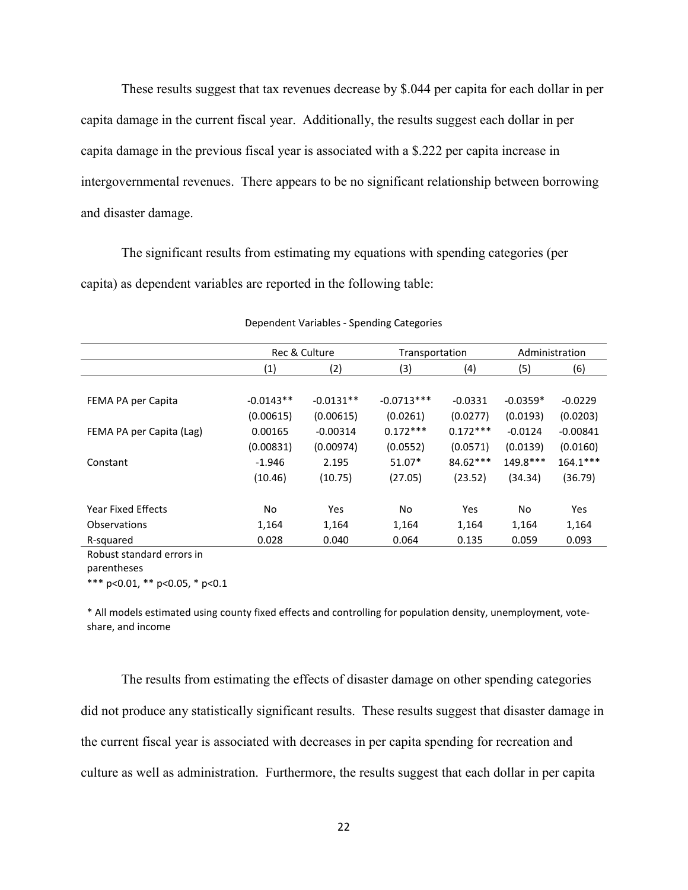These results suggest that tax revenues decrease by \$.044 per capita for each dollar in per capita damage in the current fiscal year. Additionally, the results suggest each dollar in per capita damage in the previous fiscal year is associated with a \$.222 per capita increase in intergovernmental revenues. There appears to be no significant relationship between borrowing and disaster damage.

The significant results from estimating my equations with spending categories (per capita) as dependent variables are reported in the following table:

|                          | Rec & Culture |             | Transportation |            | Administration |            |
|--------------------------|---------------|-------------|----------------|------------|----------------|------------|
|                          | (1)           | (2)         | (3)            | (4)        | (5)            | (6)        |
|                          |               |             |                |            |                |            |
| FEMA PA per Capita       | $-0.0143**$   | $-0.0131**$ | $-0.0713***$   | $-0.0331$  | $-0.0359*$     | $-0.0229$  |
|                          | (0.00615)     | (0.00615)   | (0.0261)       | (0.0277)   | (0.0193)       | (0.0203)   |
| FEMA PA per Capita (Lag) | 0.00165       | $-0.00314$  | $0.172***$     | $0.172***$ | $-0.0124$      | $-0.00841$ |
|                          | (0.00831)     | (0.00974)   | (0.0552)       | (0.0571)   | (0.0139)       | (0.0160)   |
| Constant                 | $-1.946$      | 2.195       | $51.07*$       | $84.62***$ | $149.8***$     | $164.1***$ |
|                          | (10.46)       | (10.75)     | (27.05)        | (23.52)    | (34.34)        | (36.79)    |
|                          |               |             |                |            |                |            |
| Year Fixed Effects       | No            | Yes         | No             | Yes        | No             | Yes        |
| Observations             | 1,164         | 1,164       | 1,164          | 1,164      | 1,164          | 1,164      |
| R-squared                | 0.028         | 0.040       | 0.064          | 0.135      | 0.059          | 0.093      |

| Dependent Variables - Spending Categories |  |  |
|-------------------------------------------|--|--|
|-------------------------------------------|--|--|

Robust standard errors in

parentheses

\*\*\* p<0.01, \*\* p<0.05, \* p<0.1

\* All models estimated using county fixed effects and controlling for population density, unemployment, voteshare, and income

The results from estimating the effects of disaster damage on other spending categories did not produce any statistically significant results. These results suggest that disaster damage in the current fiscal year is associated with decreases in per capita spending for recreation and culture as well as administration. Furthermore, the results suggest that each dollar in per capita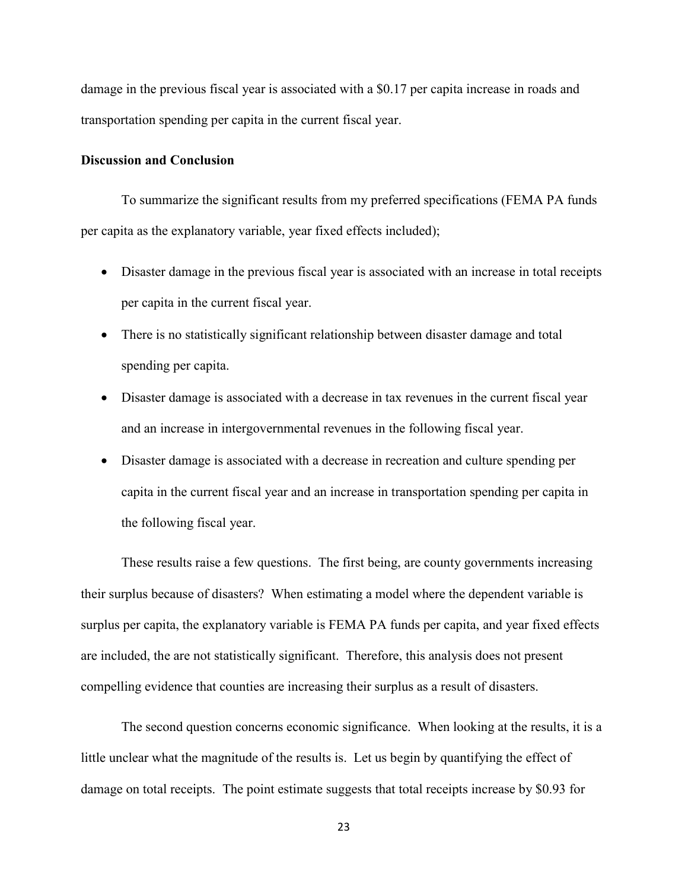damage in the previous fiscal year is associated with a \$0.17 per capita increase in roads and transportation spending per capita in the current fiscal year.

#### **Discussion and Conclusion**

To summarize the significant results from my preferred specifications (FEMA PA funds per capita as the explanatory variable, year fixed effects included);

- Disaster damage in the previous fiscal year is associated with an increase in total receipts per capita in the current fiscal year.
- There is no statistically significant relationship between disaster damage and total spending per capita.
- Disaster damage is associated with a decrease in tax revenues in the current fiscal year and an increase in intergovernmental revenues in the following fiscal year.
- Disaster damage is associated with a decrease in recreation and culture spending per capita in the current fiscal year and an increase in transportation spending per capita in the following fiscal year.

These results raise a few questions. The first being, are county governments increasing their surplus because of disasters? When estimating a model where the dependent variable is surplus per capita, the explanatory variable is FEMA PA funds per capita, and year fixed effects are included, the are not statistically significant. Therefore, this analysis does not present compelling evidence that counties are increasing their surplus as a result of disasters.

The second question concerns economic significance. When looking at the results, it is a little unclear what the magnitude of the results is. Let us begin by quantifying the effect of damage on total receipts. The point estimate suggests that total receipts increase by \$0.93 for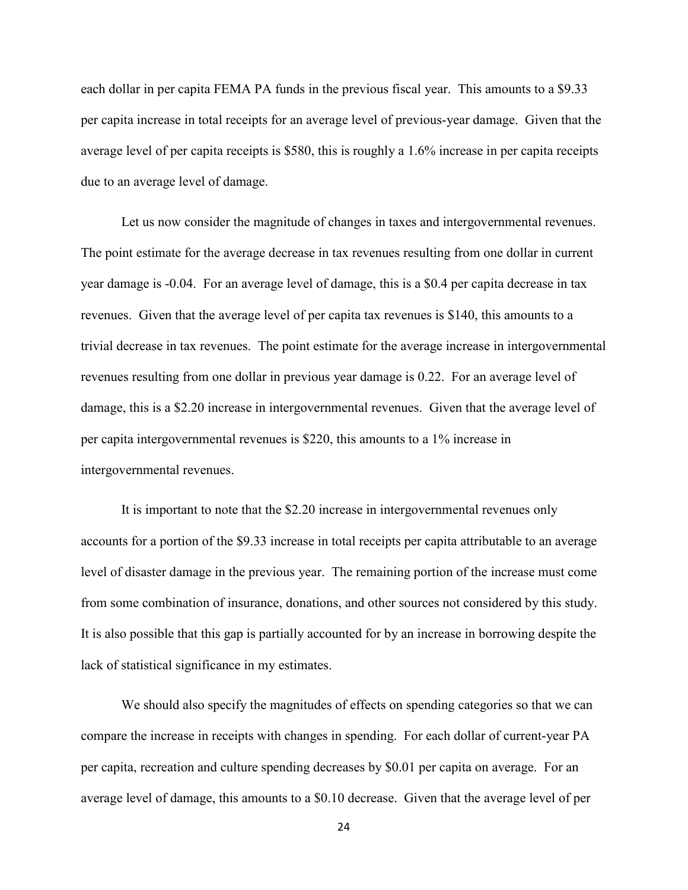each dollar in per capita FEMA PA funds in the previous fiscal year. This amounts to a \$9.33 per capita increase in total receipts for an average level of previous-year damage. Given that the average level of per capita receipts is \$580, this is roughly a 1.6% increase in per capita receipts due to an average level of damage.

Let us now consider the magnitude of changes in taxes and intergovernmental revenues. The point estimate for the average decrease in tax revenues resulting from one dollar in current year damage is -0.04. For an average level of damage, this is a \$0.4 per capita decrease in tax revenues. Given that the average level of per capita tax revenues is \$140, this amounts to a trivial decrease in tax revenues. The point estimate for the average increase in intergovernmental revenues resulting from one dollar in previous year damage is 0.22. For an average level of damage, this is a \$2.20 increase in intergovernmental revenues. Given that the average level of per capita intergovernmental revenues is \$220, this amounts to a 1% increase in intergovernmental revenues.

It is important to note that the \$2.20 increase in intergovernmental revenues only accounts for a portion of the \$9.33 increase in total receipts per capita attributable to an average level of disaster damage in the previous year. The remaining portion of the increase must come from some combination of insurance, donations, and other sources not considered by this study. It is also possible that this gap is partially accounted for by an increase in borrowing despite the lack of statistical significance in my estimates.

We should also specify the magnitudes of effects on spending categories so that we can compare the increase in receipts with changes in spending. For each dollar of current-year PA per capita, recreation and culture spending decreases by \$0.01 per capita on average. For an average level of damage, this amounts to a \$0.10 decrease. Given that the average level of per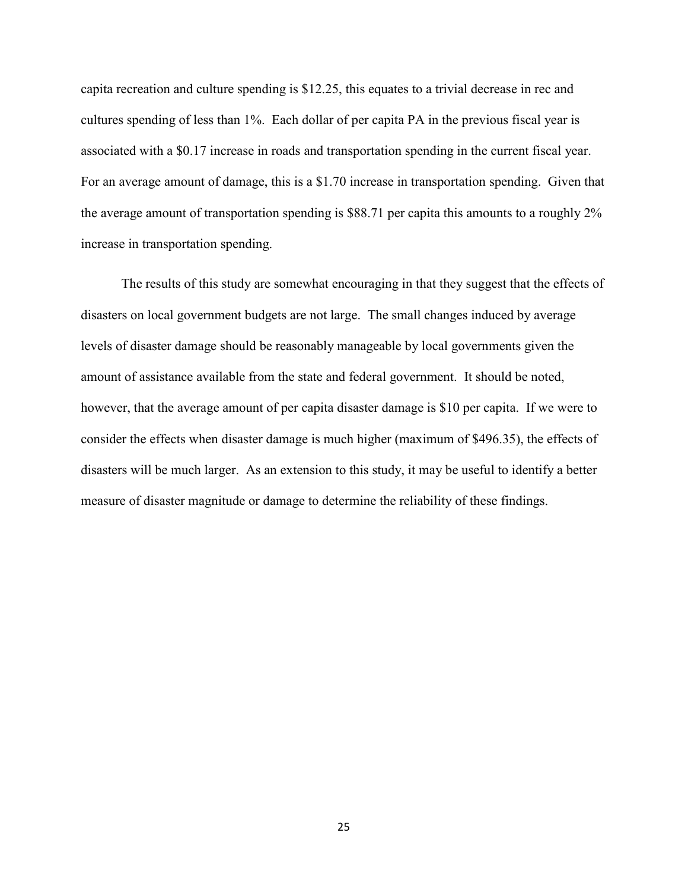capita recreation and culture spending is \$12.25, this equates to a trivial decrease in rec and cultures spending of less than 1%. Each dollar of per capita PA in the previous fiscal year is associated with a \$0.17 increase in roads and transportation spending in the current fiscal year. For an average amount of damage, this is a \$1.70 increase in transportation spending. Given that the average amount of transportation spending is \$88.71 per capita this amounts to a roughly 2% increase in transportation spending.

The results of this study are somewhat encouraging in that they suggest that the effects of disasters on local government budgets are not large. The small changes induced by average levels of disaster damage should be reasonably manageable by local governments given the amount of assistance available from the state and federal government. It should be noted, however, that the average amount of per capita disaster damage is \$10 per capita. If we were to consider the effects when disaster damage is much higher (maximum of \$496.35), the effects of disasters will be much larger. As an extension to this study, it may be useful to identify a better measure of disaster magnitude or damage to determine the reliability of these findings.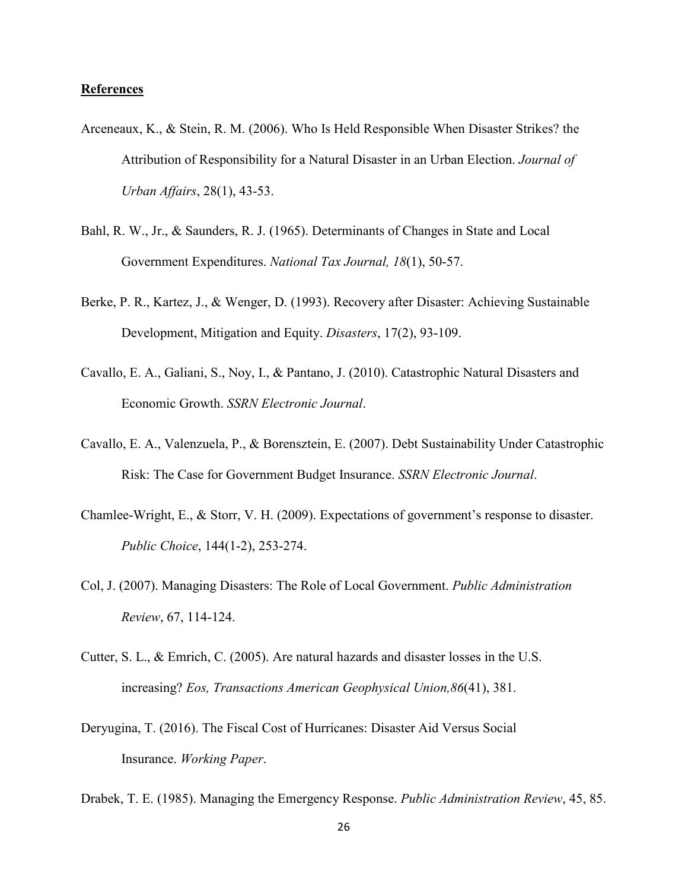# **References**

- Arceneaux, K., & Stein, R. M. (2006). Who Is Held Responsible When Disaster Strikes? the Attribution of Responsibility for a Natural Disaster in an Urban Election. *Journal of Urban Affairs*, 28(1), 43-53.
- Bahl, R. W., Jr., & Saunders, R. J. (1965). Determinants of Changes in State and Local Government Expenditures. *National Tax Journal, 18*(1), 50-57.
- Berke, P. R., Kartez, J., & Wenger, D. (1993). Recovery after Disaster: Achieving Sustainable Development, Mitigation and Equity. *Disasters*, 17(2), 93-109.
- Cavallo, E. A., Galiani, S., Noy, I., & Pantano, J. (2010). Catastrophic Natural Disasters and Economic Growth. *SSRN Electronic Journal*.
- Cavallo, E. A., Valenzuela, P., & Borensztein, E. (2007). Debt Sustainability Under Catastrophic Risk: The Case for Government Budget Insurance. *SSRN Electronic Journal*.
- Chamlee-Wright, E., & Storr, V. H. (2009). Expectations of government's response to disaster. *Public Choice*, 144(1-2), 253-274.
- Col, J. (2007). Managing Disasters: The Role of Local Government. *Public Administration Review*, 67, 114-124.
- Cutter, S. L., & Emrich, C. (2005). Are natural hazards and disaster losses in the U.S. increasing? *Eos, Transactions American Geophysical Union,86*(41), 381.
- Deryugina, T. (2016). The Fiscal Cost of Hurricanes: Disaster Aid Versus Social Insurance. *Working Paper*.
- Drabek, T. E. (1985). Managing the Emergency Response. *Public Administration Review*, 45, 85.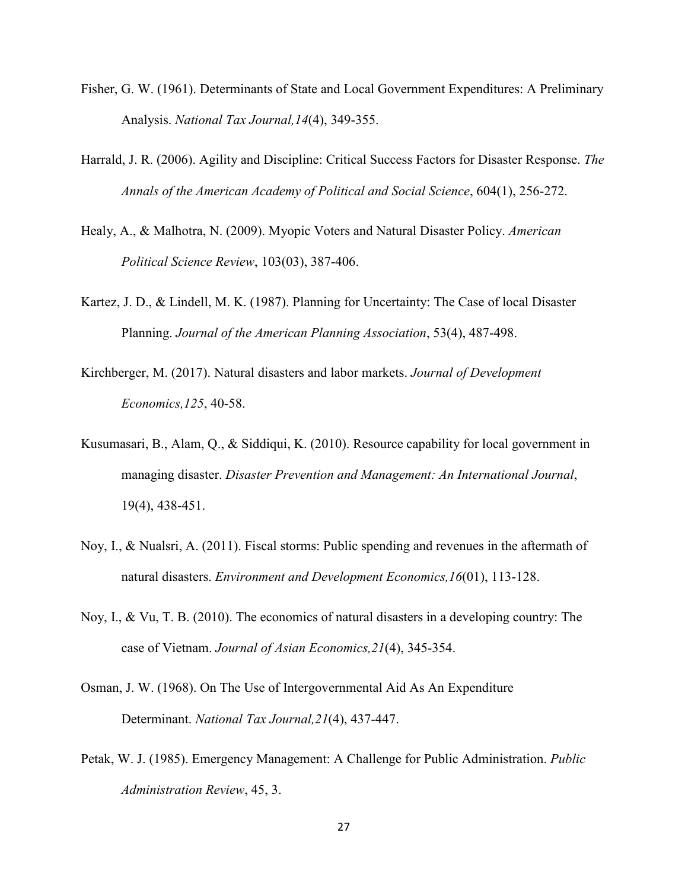- Fisher, G. W. (1961). Determinants of State and Local Government Expenditures: A Preliminary Analysis. *National Tax Journal,14*(4), 349-355.
- Harrald, J. R. (2006). Agility and Discipline: Critical Success Factors for Disaster Response. *The Annals of the American Academy of Political and Social Science*, 604(1), 256-272.
- Healy, A., & Malhotra, N. (2009). Myopic Voters and Natural Disaster Policy. *American Political Science Review*, 103(03), 387-406.
- Kartez, J. D., & Lindell, M. K. (1987). Planning for Uncertainty: The Case of local Disaster Planning. *Journal of the American Planning Association*, 53(4), 487-498.
- Kirchberger, M. (2017). Natural disasters and labor markets. *Journal of Development Economics,125*, 40-58.
- Kusumasari, B., Alam, Q., & Siddiqui, K. (2010). Resource capability for local government in managing disaster. *Disaster Prevention and Management: An International Journal*, 19(4), 438-451.
- Noy, I., & Nualsri, A. (2011). Fiscal storms: Public spending and revenues in the aftermath of natural disasters. *Environment and Development Economics,16*(01), 113-128.
- Noy, I., & Vu, T. B. (2010). The economics of natural disasters in a developing country: The case of Vietnam. *Journal of Asian Economics,21*(4), 345-354.
- Osman, J. W. (1968). On The Use of Intergovernmental Aid As An Expenditure Determinant. *National Tax Journal,21*(4), 437-447.
- Petak, W. J. (1985). Emergency Management: A Challenge for Public Administration. *Public Administration Review*, 45, 3.